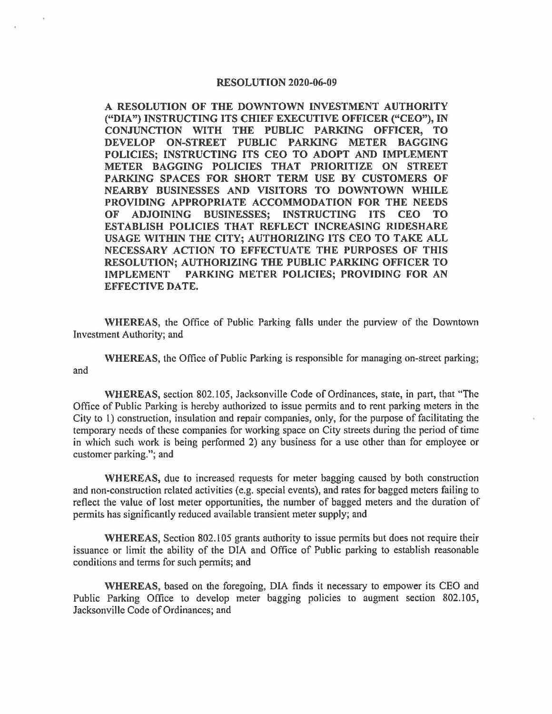## **RESOLUTION 2020-06-09**

**A RESOLUTION OF THE DOWNTOWN INVESTMENT AUTHORITY ("DIA") INSTRUCTING ITS CHIEF EXECUTIVE OFFICER ("CEO"),** IN **CONJUNCTION WITH THE PUBLIC PARKING OFFICER, TO DEVELOP ON-STREET PUBLIC PARKING METER BAGGING POLICIES; INSTRUCTING ITS CEO TO ADOPT AND IMPLEMENT METER BAGGING POLICIES THAT PRIORITIZE ON STREET PARKING SPACES FOR SHORT TERM USE BY CUSTOMERS OF NEARBY BUSINESSES AND VISITORS TO DOWNTOWN WHILE PROVIDING APPROPRIATE ACCOMMODATION FOR THE NEEDS OF ADJOINING BUSINESSES; INSTRUCTING ITS CEO TO ESTABLISH POLICIES THAT REFLECT INCREASING RIDESHARE USAGE WITHIN THE CITY; AUTHORIZING ITS CEO TO TAKE ALL NECESSARY ACTION TO EFFECTUATE THE PURPOSES OF THIS RESOLUTION; AUTHORIZING THE PUBLIC PARKING OFFICER TO IMPLEMENT PARKING METER POLICIES; PROVIDING FOR AN EFFECTIVE DATE.** 

**WHEREAS,** the Office of Public Parking falls under the purview of the Downtown Investment Authority; and

**WHEREAS,** the Office of Public Parking is responsible for managing on-street parking; and

**WHEREAS,** section 802.105, Jacksonville Code of Ordinances, state, in part, that "The Office of Public Parking is hereby authorized to issue permits and to rent parking meters in the City to 1) construction, insulation and repair companies, only, for the purpose of facilitating the temporary needs of these companies for working space on City streets during the period of time in which such work is being performed 2) any business for a use other than for employee or customer parking."; and

**WHEREAS,** due to increased requests for meter bagging caused by both construction and non-construction related activities (e.g. special events), and rates for bagged meters failing to reflect the value of lost meter opportunities, the number of bagged meters and the duration of permits has significantly reduced available transient meter supply; and

**WHEREAS,** Section 802.105 grants authority to issue permits but does not require their issuance or limit the ability of the DIA and Office of Public parking to establish reasonable conditions and terms for such permits; and

**WHEREAS,** based on the foregoing, DIA finds it necessary to empower its CEO and Public Parking Office to develop meter bagging policies to augment section 802.105, Jacksonville Code of Ordinances; and